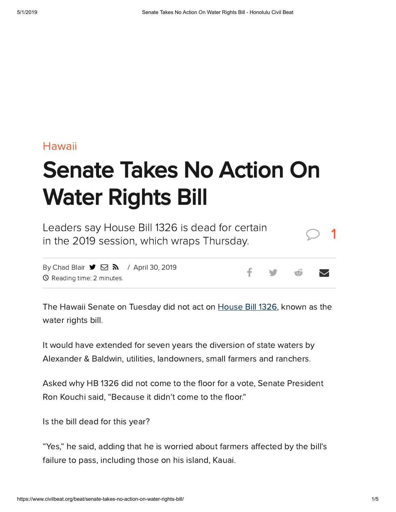# [Hawaii](https://www.civilbeat.org/category/hawaii-beat/)

# Senate Takes No Action On Water Rights Bill

Leaders say House Bill 1326 is dead for certain in the 2019 session, which wraps Thursday.

By [Chad](https://www.civilbeat.org/author/cblair/) Blair  $\blacktriangleright$   $\bowtie$   $\blacktriangleright$   $\blacktriangleright$  April 30, 2019 Reading time: 2 minutes.

The Hawaii Senate on Tuesday did not act on [House](https://www.civilbeat.org/2019/04/chad-blair-last-chance-for-the-water-rights-bill/) Bill 1326, known as the water rights bill.

It would have extended for seven years the diversion of state waters by Alexander & Baldwin, utilities, landowners, small farmers and ranchers.

Asked why HB 1326 did not come to the floor for a vote, Senate President Ron Kouchi said, "Because it didn't come to the floor."

Is the bill dead for this year?

"Yes," he said, adding that he is worried about farmers affected by the bill's failure to pass, including those on his island, Kauai.

1

f y o v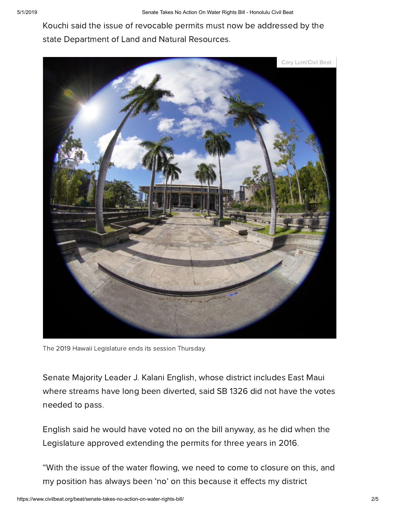Kouchi said the issue of revocable permits must now be addressed by the state Department of Land and Natural Resources.



The 2019 Hawaii Legislature ends its session Thursday.

Senate Majority Leader J. Kalani English, whose district includes East Maui where streams have long been diverted, said SB 1326 did not have the votes needed to pass.

English said he would have voted no on the bill anyway, as he did when the Legislature approved extending the permits for three years in 2016.

"With the issue of the water flowing, we need to come to closure on this, and my position has always been 'no' on this because it effects my district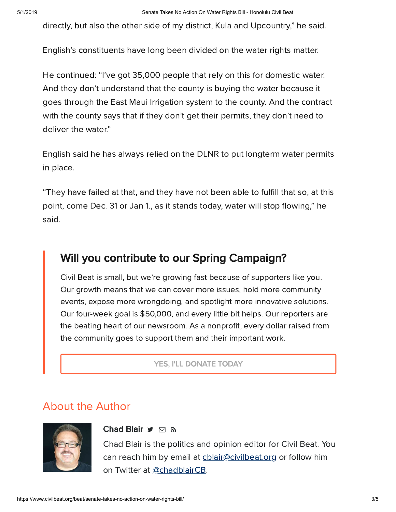directly, but also the other side of my district, Kula and Upcountry," he said.

English's constituents have long been divided on the water rights matter.

He continued: "I've got 35,000 people that rely on this for domestic water. And they don't understand that the county is buying the water because it goes through the East Maui Irrigation system to the county. And the contract with the county says that if they don't get their permits, they don't need to deliver the water."

English said he has always relied on the DLNR to put longterm water permits in place.

"They have failed at that, and they have not been able to fulfill that so, at this point, come Dec. 31 or Jan 1, as it stands today, water will stop flowing," he said.

# Will you contribute to our Spring Campaign?

Civil Beat is small, but we're growing fast because of supporters like you. Our growth means that we can cover more issues, hold more community events, expose more wrongdoing, and spotlight more innovative solutions. Our four-week goal is \$50,000, and every little bit helps. Our reporters are the beating heart of our newsroom. As a nonprofit, every dollar raised from the community goes to support them and their important work.

## YES, I'LL [DONATE](https://www.civilbeat.org/donate/?campaign=701360000016Ddv) TODAY

# About the Author



## [Chad](https://www.civilbeat.org/author/cblair/) Blair **y** ⊠ ล

Chad Blair is the politics and opinion editor for Civil Beat. You can reach him by email at chlair@civilbeat.org or follow him on Twitter at [@chadblairCB](https://twitter.com/chadblairCB?ref_src=twsrc%5Egoogle%7Ctwcamp%5Eserp%7Ctwgr%5Eauthor).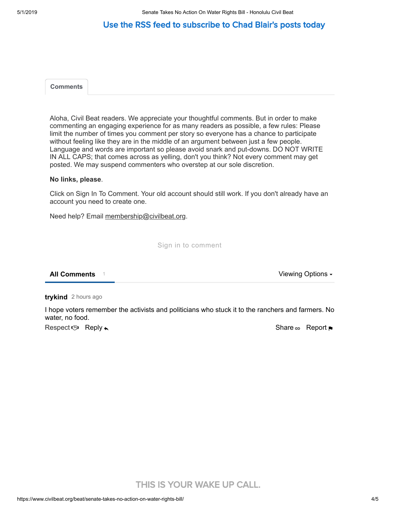# Use the RSS feed to [subscribe](https://www.civilbeat.org/author/cblair/feed/) to Chad Blair's posts today

<span id="page-3-0"></span>

|--|

Aloha, Civil Beat readers. We appreciate your thoughtful comments. But in order to make commenting an engaging experience for as many readers as possible, a few rules: Please limit the number of times you comment per story so everyone has a chance to participate without feeling like they are in the middle of an argument between just a few people. Language and words are important so please avoid snark and put-downs. DO NOT WRITE IN ALL CAPS; that comes across as yelling, don't you think? Not every comment may get posted. We may suspend commenters who overstep at our sole discretion.

#### **No links, please**.

Click on Sign In To Comment. Your old account should still work. If you don't already have an account you need to create one.

Need help? Email [membership@civilbeat.org](mailto:membership@civilbeat.org).

Sign in to comment

**All Comments** 1 **Viewing Options + 2** 

2 hours ago **trykind**

I hope voters remember the activists and politicians who stuck it to the ranchers and farmers. No water, no food.

Respect  $\circledcirc$  Reply  $\star$ 

Share  $\oplus$  Report  $\blacksquare$